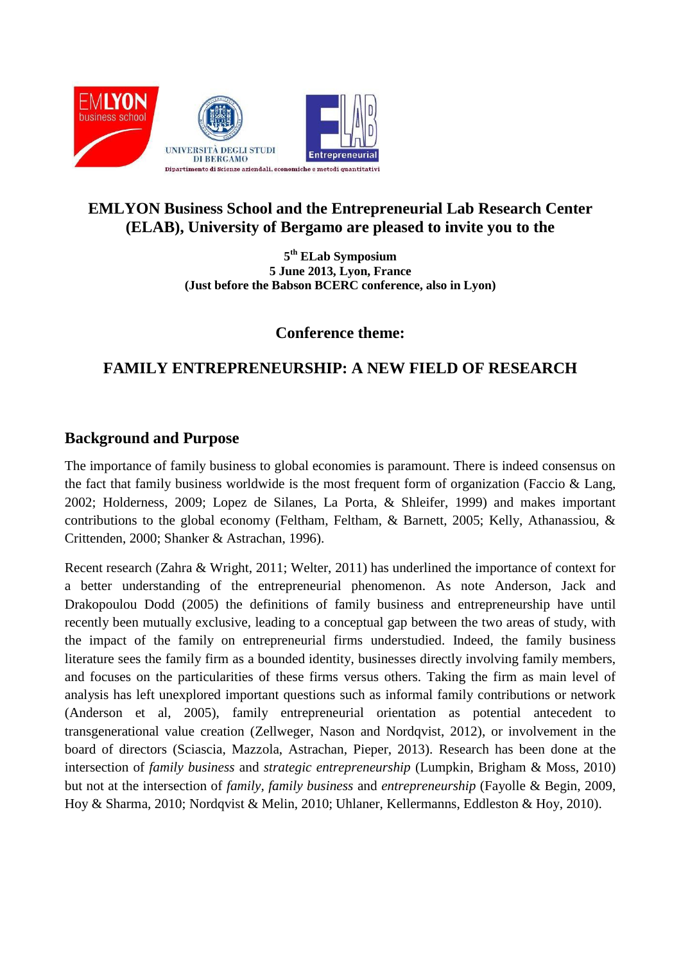

## **EMLYON Business School and the Entrepreneurial Lab Research Center (ELAB), University of Bergamo are pleased to invite you to the**

**5 th ELab Symposium 5 June 2013, Lyon, France (Just before the Babson BCERC conference, also in Lyon)**

**Conference theme:**

# **FAMILY ENTREPRENEURSHIP: A NEW FIELD OF RESEARCH**

## **Background and Purpose**

The importance of family business to global economies is paramount. There is indeed consensus on the fact that family business worldwide is the most frequent form of organization (Faccio  $\&$  Lang, 2002; Holderness, 2009; Lopez de Silanes, La Porta, & Shleifer, 1999) and makes important contributions to the global economy (Feltham, Feltham, & Barnett, 2005; Kelly, Athanassiou, & Crittenden, 2000; Shanker & Astrachan, 1996).

Recent research (Zahra & Wright, 2011; Welter, 2011) has underlined the importance of context for a better understanding of the entrepreneurial phenomenon. As note Anderson, Jack and Drakopoulou Dodd (2005) the definitions of family business and entrepreneurship have until recently been mutually exclusive, leading to a conceptual gap between the two areas of study, with the impact of the family on entrepreneurial firms understudied. Indeed, the family business literature sees the family firm as a bounded identity, businesses directly involving family members, and focuses on the particularities of these firms versus others. Taking the firm as main level of analysis has left unexplored important questions such as informal family contributions or network (Anderson et al, 2005), family entrepreneurial orientation as potential antecedent to transgenerational value creation (Zellweger, Nason and Nordqvist, 2012), or involvement in the board of directors (Sciascia, Mazzola, Astrachan, Pieper, 2013). Research has been done at the intersection of *family business* and *strategic entrepreneurship* (Lumpkin, Brigham & Moss, 2010) but not at the intersection of *family, family business* and *entrepreneurship* (Fayolle & Begin, 2009, Hoy & Sharma, 2010; Nordqvist & Melin, 2010; Uhlaner, Kellermanns, Eddleston & Hoy, 2010).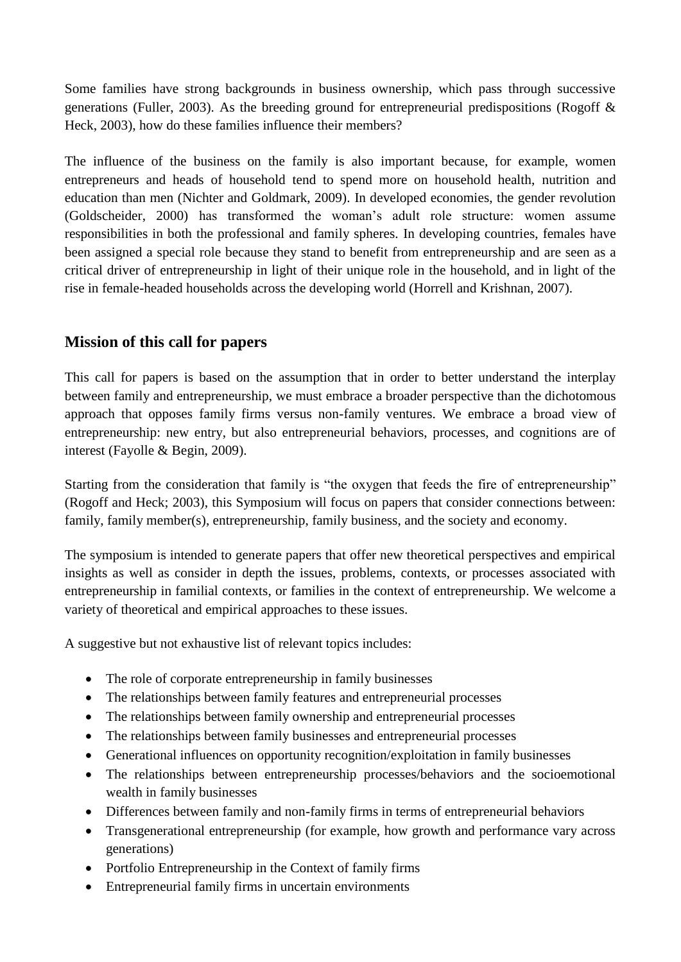Some families have strong backgrounds in business ownership, which pass through successive generations (Fuller, 2003). As the breeding ground for entrepreneurial predispositions (Rogoff & Heck, 2003), how do these families influence their members?

The influence of the business on the family is also important because, for example, women entrepreneurs and heads of household tend to spend more on household health, nutrition and education than men (Nichter and Goldmark, 2009). In developed economies, the gender revolution (Goldscheider, 2000) has transformed the woman's adult role structure: women assume responsibilities in both the professional and family spheres. In developing countries, females have been assigned a special role because they stand to benefit from entrepreneurship and are seen as a critical driver of entrepreneurship in light of their unique role in the household, and in light of the rise in female-headed households across the developing world (Horrell and Krishnan, 2007).

### **Mission of this call for papers**

This call for papers is based on the assumption that in order to better understand the interplay between family and entrepreneurship, we must embrace a broader perspective than the dichotomous approach that opposes family firms versus non-family ventures. We embrace a broad view of entrepreneurship: new entry, but also entrepreneurial behaviors, processes, and cognitions are of interest (Fayolle & Begin, 2009).

Starting from the consideration that family is "the oxygen that feeds the fire of entrepreneurship" (Rogoff and Heck; 2003), this Symposium will focus on papers that consider connections between: family, family member(s), entrepreneurship, family business, and the society and economy.

The symposium is intended to generate papers that offer new theoretical perspectives and empirical insights as well as consider in depth the issues, problems, contexts, or processes associated with entrepreneurship in familial contexts, or families in the context of entrepreneurship. We welcome a variety of theoretical and empirical approaches to these issues.

A suggestive but not exhaustive list of relevant topics includes:

- The role of corporate entrepreneurship in family businesses
- The relationships between family features and entrepreneurial processes
- The relationships between family ownership and entrepreneurial processes
- The relationships between family businesses and entrepreneurial processes
- Generational influences on opportunity recognition/exploitation in family businesses
- The relationships between entrepreneurship processes/behaviors and the socioemotional wealth in family businesses
- Differences between family and non-family firms in terms of entrepreneurial behaviors
- Transgenerational entrepreneurship (for example, how growth and performance vary across generations)
- Portfolio Entrepreneurship in the Context of family firms
- Entrepreneurial family firms in uncertain environments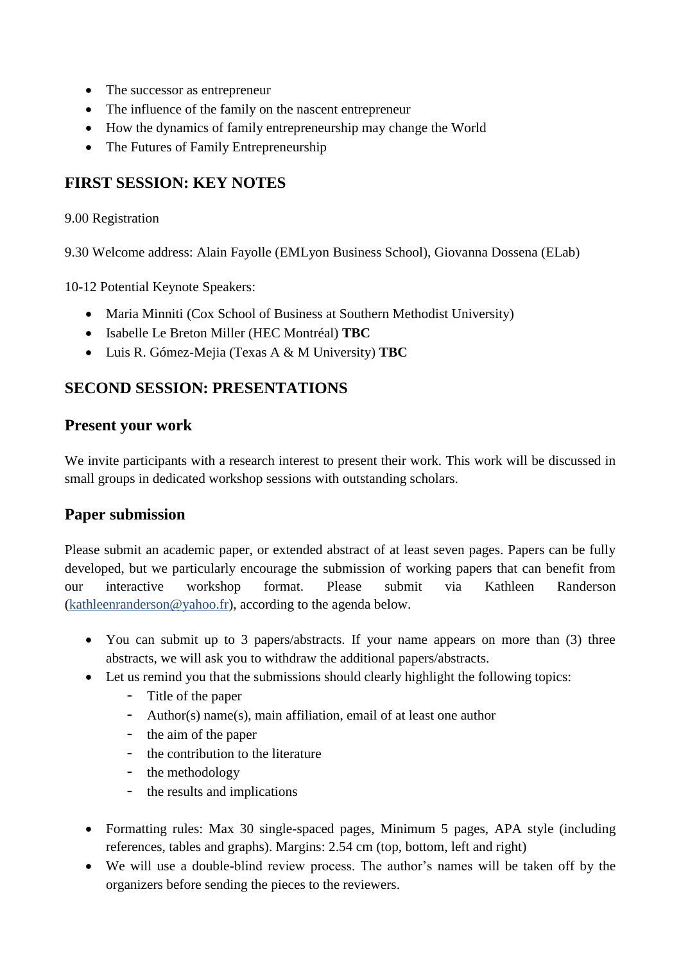- The successor as entrepreneur
- The influence of the family on the nascent entrepreneur
- How the dynamics of family entrepreneurship may change the World
- The Futures of Family Entrepreneurship

## **FIRST SESSION: KEY NOTES**

#### 9.00 Registration

9.30 Welcome address: Alain Fayolle (EMLyon Business School), Giovanna Dossena (ELab)

10-12 Potential Keynote Speakers:

- Maria Minniti (Cox School of Business at Southern Methodist University)
- Isabelle Le Breton Miller (HEC Montréal) **TBC**
- Luis R. Gómez-Mejia (Texas A & M University) **TBC**

### **SECOND SESSION: PRESENTATIONS**

#### **Present your work**

We invite participants with a research interest to present their work. This work will be discussed in small groups in dedicated workshop sessions with outstanding scholars.

#### **Paper submission**

Please submit an academic paper, or extended abstract of at least seven pages. Papers can be fully developed, but we particularly encourage the submission of working papers that can benefit from our interactive workshop format. Please submit via Kathleen Randerson (kathleenranderson@yahoo.fr), according to the agenda below.

- You can submit up to 3 papers/abstracts. If your name appears on more than (3) three abstracts, we will ask you to withdraw the additional papers/abstracts.
- Let us remind you that the submissions should clearly highlight the following topics:
	- Title of the paper
	- Author(s) name(s), main affiliation, email of at least one author
	- the aim of the paper
	- the contribution to the literature
	- the methodology
	- the results and implications
- Formatting rules: Max 30 single-spaced pages, Minimum 5 pages, APA style (including references, tables and graphs). Margins: 2.54 cm (top, bottom, left and right)
- We will use a double-blind review process. The author's names will be taken off by the organizers before sending the pieces to the reviewers.